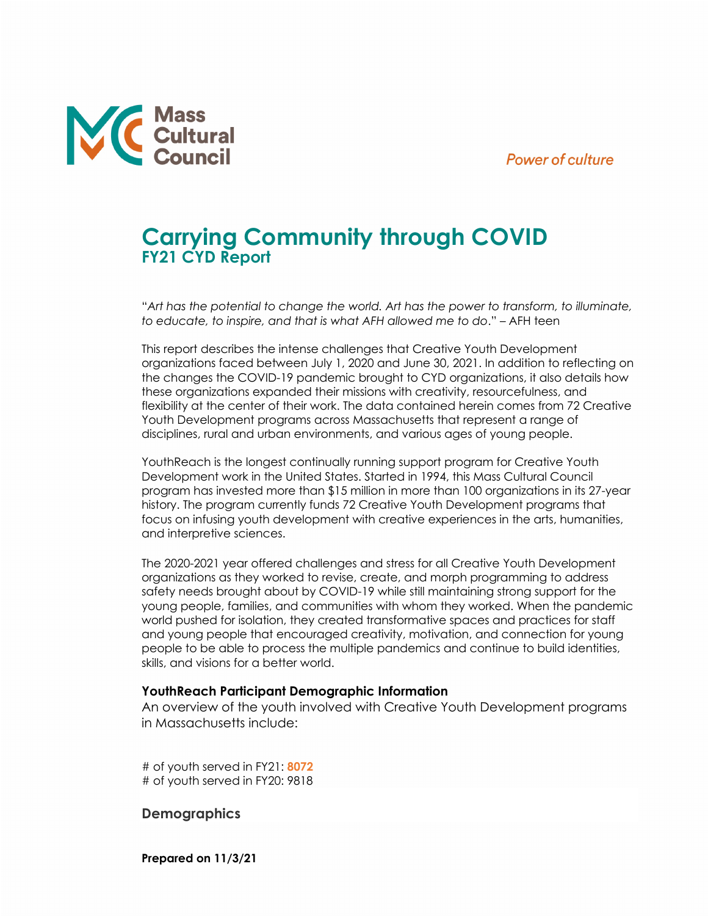### **Power of culture**



# **Carrying Community through COVID FY21 CYD Report**

"*Art has the potential to change the world. Art has the power to transform, to illuminate, to educate, to inspire, and that is what AFH allowed me to do*." – AFH teen

This report describes the intense challenges that Creative Youth Development organizations faced between July 1, 2020 and June 30, 2021. In addition to reflecting on the changes the COVID-19 pandemic brought to CYD organizations, it also details how these organizations expanded their missions with creativity, resourcefulness, and flexibility at the center of their work. The data contained herein comes from 72 Creative Youth Development programs across Massachusetts that represent a range of disciplines, rural and urban environments, and various ages of young people.

YouthReach is the longest continually running support program for Creative Youth Development work in the United States. Started in 1994, this Mass Cultural Council program has invested more than \$15 million in more than 100 organizations in its 27-year history. The program currently funds 72 Creative Youth Development programs that focus on infusing youth development with creative experiences in the arts, humanities, and interpretive sciences.

The 2020-2021 year offered challenges and stress for all Creative Youth Development organizations as they worked to revise, create, and morph programming to address safety needs brought about by COVID-19 while still maintaining strong support for the young people, families, and communities with whom they worked. When the pandemic world pushed for isolation, they created transformative spaces and practices for staff and young people that encouraged creativity, motivation, and connection for young people to be able to process the multiple pandemics and continue to build identities, skills, and visions for a better world.

#### **YouthReach Participant Demographic Information**

An overview of the youth involved with Creative Youth Development programs in Massachusetts include:

# of youth served in FY21: **8072** # of youth served in FY20: 9818

### **Demographics**

**Prepared on 11/3/21**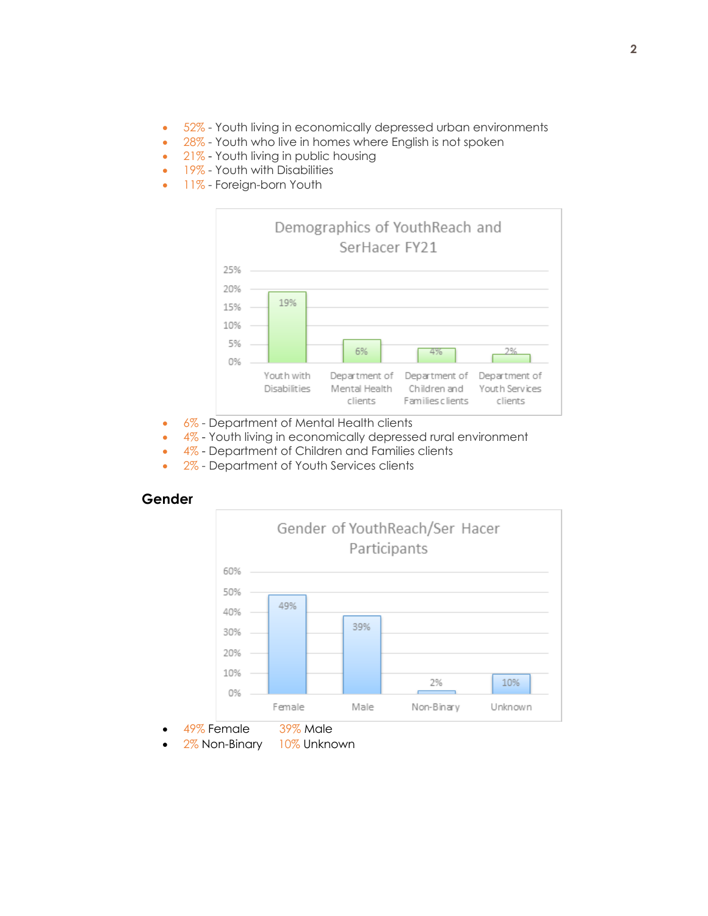- 52% Youth living in economically depressed urban environments
- 28% Youth who live in homes where English is not spoken
- 21% Youth living in public housing
- 19% Youth with Disabilities
- 11% Foreign-born Youth



- 6% Department of Mental Health clients
- 4% Youth living in economically depressed rural environment
- 4% Department of Children and Families clients
- 2% Department of Youth Services clients





- 49% Female 39% Male
- 2% Non-Binary 10% Unknown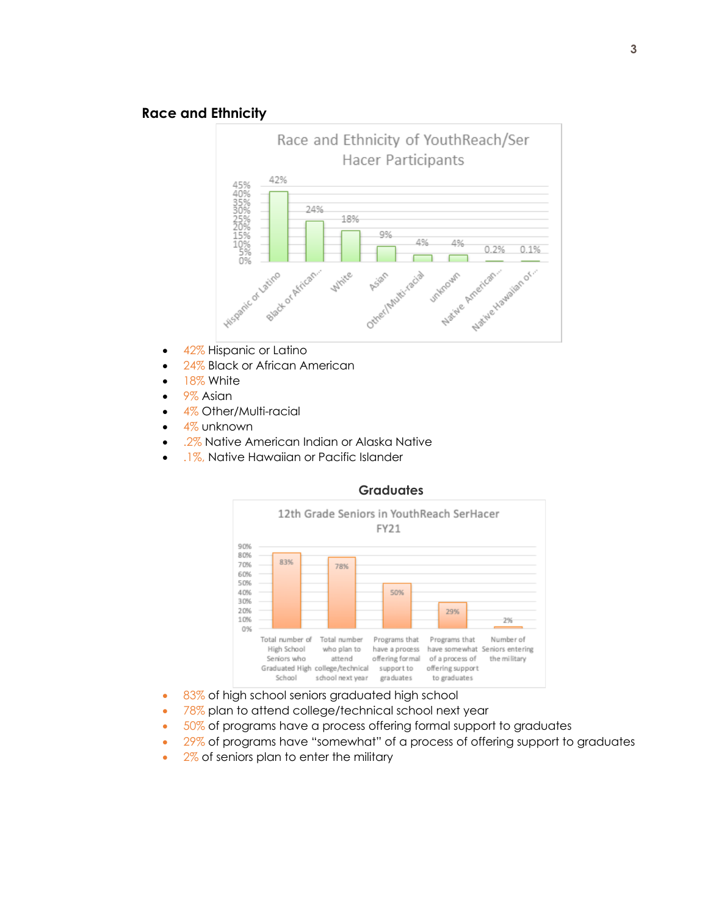### **Race and Ethnicity**



- 42% Hispanic or Latino
- 24% Black or African American
- 18% White
- 9% Asian
- 4% Other/Multi-racial
- 4% unknown
- 2% Native American Indian or Alaska Native
- .1%, Native Hawaiian or Pacific Islander



#### **Graduates**

- 83% of high school seniors graduated high school
- 78% plan to attend college/technical school next year
- 50% of programs have a process offering formal support to graduates
- 29% of programs have "somewhat" of a process of offering support to graduates
- 2% of seniors plan to enter the military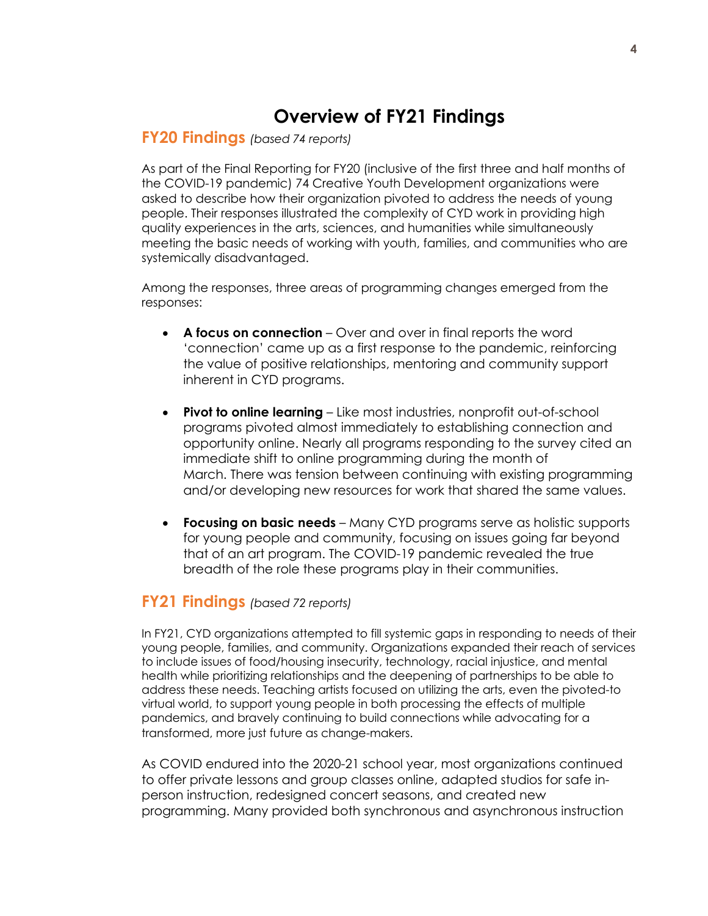## **Overview of FY21 Findings**

## **FY20 Findings** *(based 74 reports)*

As part of the Final Reporting for FY20 (inclusive of the first three and half months of the COVID-19 pandemic) 74 Creative Youth Development organizations were asked to describe how their organization pivoted to address the needs of young people. Their responses illustrated the complexity of CYD work in providing high quality experiences in the arts, sciences, and humanities while simultaneously meeting the basic needs of working with youth, families, and communities who are systemically disadvantaged.

Among the responses, three areas of programming changes emerged from the responses:

- **A focus on connection** Over and over in final reports the word 'connection' came up as a first response to the pandemic, reinforcing the value of positive relationships, mentoring and community support inherent in CYD programs.
- **Pivot to online learning** Like most industries, nonprofit out-of-school programs pivoted almost immediately to establishing connection and opportunity online. Nearly all programs responding to the survey cited an immediate shift to online programming during the month of March. There was tension between continuing with existing programming and/or developing new resources for work that shared the same values.
- **Focusing on basic needs** Many CYD programs serve as holistic supports for young people and community, focusing on issues going far beyond that of an art program. The COVID-19 pandemic revealed the true breadth of the role these programs play in their communities.

## **FY21 Findings** *(based 72 reports)*

In FY21, CYD organizations attempted to fill systemic gaps in responding to needs of their young people, families, and community. Organizations expanded their reach of services to include issues of food/housing insecurity, technology, racial injustice, and mental health while prioritizing relationships and the deepening of partnerships to be able to address these needs. Teaching artists focused on utilizing the arts, even the pivoted-to virtual world, to support young people in both processing the effects of multiple pandemics, and bravely continuing to build connections while advocating for a transformed, more just future as change-makers.

As COVID endured into the 2020-21 school year, most organizations continued to offer private lessons and group classes online, adapted studios for safe inperson instruction, redesigned concert seasons, and created new programming. Many provided both synchronous and asynchronous instruction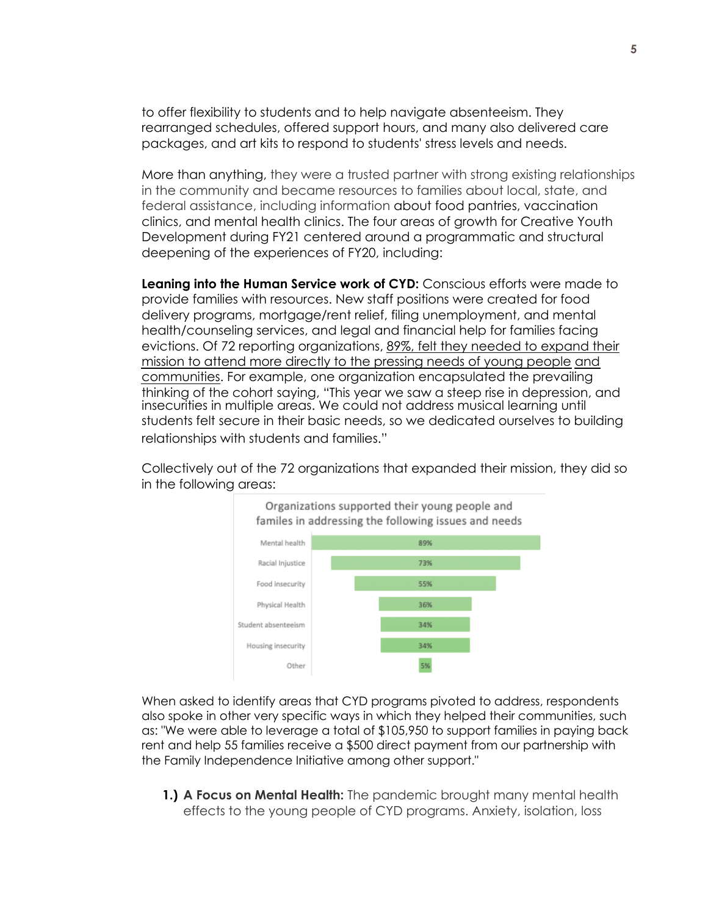to offer flexibility to students and to help navigate absenteeism. They rearranged schedules, offered support hours, and many also delivered care packages, and art kits to respond to students' stress levels and needs.

More than anything, they were a trusted partner with strong existing relationships in the community and became resources to families about local, state, and federal assistance, including information about food pantries, vaccination clinics, and mental health clinics. The four areas of growth for Creative Youth Development during FY21 centered around a programmatic and structural deepening of the experiences of FY20, including:

**Leaning into the Human Service work of CYD:** Conscious efforts were made to provide families with resources. New staff positions were created for food delivery programs, mortgage/rent relief, filing unemployment, and mental health/counseling services, and legal and financial help for families facing evictions. Of 72 reporting organizations, 89%, felt they needed to expand their mission to attend more directly to the pressing needs of young people and communities. For example, one organization encapsulated the prevailing thinking of the cohort saying, "This year we saw a steep rise in depression, and insecurities in multiple areas. We could not address musical learning until students felt secure in their basic needs, so we dedicated ourselves to building relationships with students and families."

Collectively out of the 72 organizations that expanded their mission, they did so in the following areas:



When asked to identify areas that CYD programs pivoted to address, respondents also spoke in other very specific ways in which they helped their communities, such as: "We were able to leverage a total of \$105,950 to support families in paying back rent and help 55 families receive a \$500 direct payment from our partnership with the Family Independence Initiative among other support."

**1.) A Focus on Mental Health:** The pandemic brought many mental health effects to the young people of CYD programs. Anxiety, isolation, loss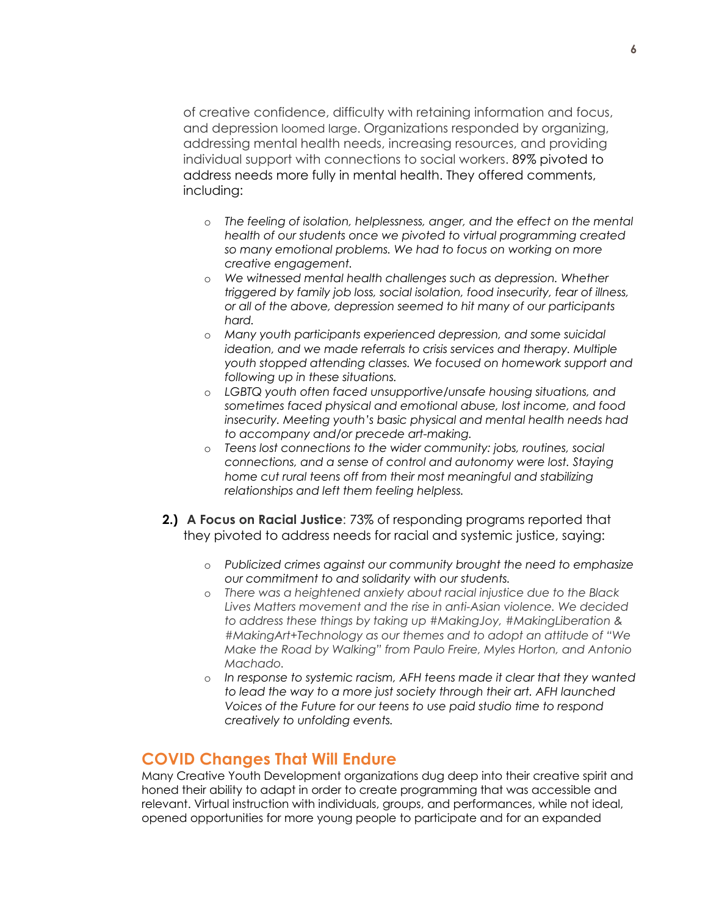of creative confidence, difficulty with retaining information and focus, and depression loomed large. Organizations responded by organizing, addressing mental health needs, increasing resources, and providing individual support with connections to social workers. 89% pivoted to address needs more fully in mental health. They offered comments, including:

- o *The feeling of isolation, helplessness, anger, and the effect on the mental health of our students once we pivoted to virtual programming created so many emotional problems. We had to focus on working on more creative engagement.*
- o *We witnessed mental health challenges such as depression. Whether triggered by family job loss, social isolation, food insecurity, fear of illness, or all of the above, depression seemed to hit many of our participants hard.*
- o *Many youth participants experienced depression, and some suicidal ideation, and we made referrals to crisis services and therapy. Multiple youth stopped attending classes. We focused on homework support and following up in these situations.*
- o *LGBTQ youth often faced unsupportive/unsafe housing situations, and sometimes faced physical and emotional abuse, lost income, and food insecurity. Meeting youth's basic physical and mental health needs had to accompany and/or precede art-making.*
- o *Teens lost connections to the wider community: jobs, routines, social connections, and a sense of control and autonomy were lost. Staying home cut rural teens off from their most meaningful and stabilizing relationships and left them feeling helpless.*
- **2.) A Focus on Racial Justice**: 73% of responding programs reported that they pivoted to address needs for racial and systemic justice, saying:
	- o *Publicized crimes against our community brought the need to emphasize our commitment to and solidarity with our students.*
	- o *There was a heightened anxiety about racial injustice due to the Black Lives Matters movement and the rise in anti-Asian violence. We decided to address these things by taking up #MakingJoy, #MakingLiberation & #MakingArt+Technology as our themes and to adopt an attitude of "We Make the Road by Walking" from Paulo Freire, Myles Horton, and Antonio Machado.*
	- o *In response to systemic racism, AFH teens made it clear that they wanted to lead the way to a more just society through their art. AFH launched Voices of the Future for our teens to use paid studio time to respond creatively to unfolding events.*

## **COVID Changes That Will Endure**

Many Creative Youth Development organizations dug deep into their creative spirit and honed their ability to adapt in order to create programming that was accessible and relevant. Virtual instruction with individuals, groups, and performances, while not ideal, opened opportunities for more young people to participate and for an expanded